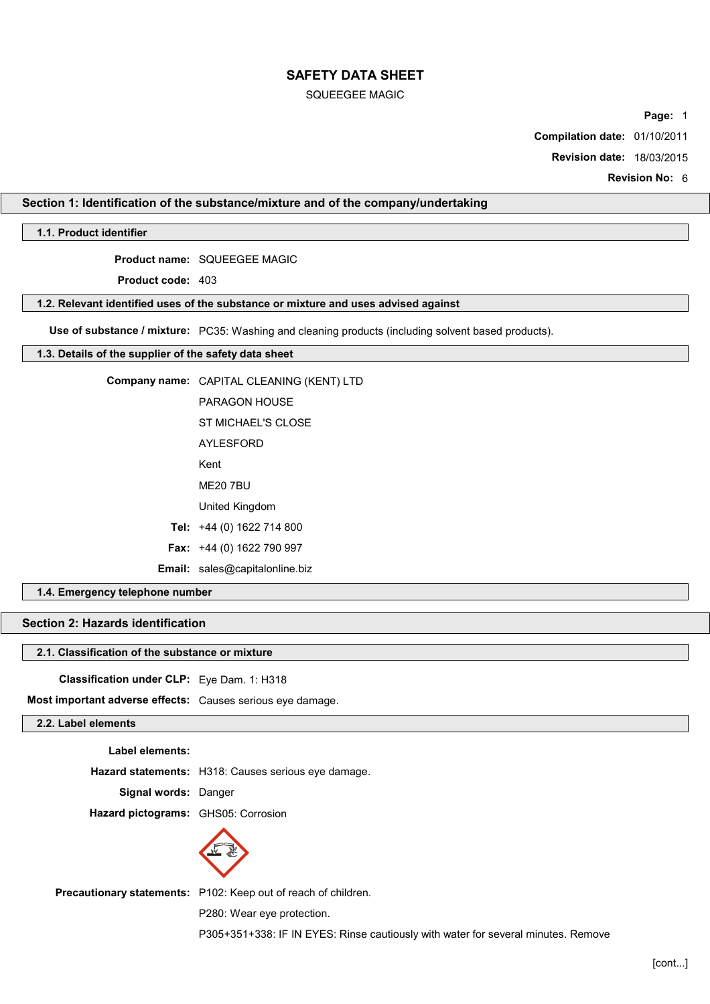### SQUEEGEE MAGIC

**Page:** 1

**Compilation date:** 01/10/2011

**Revision date:** 18/03/2015

**Revision No:** 6

## **Section 1: Identification of the substance/mixture and of the company/undertaking**

## **1.1. Product identifier**

**Product name:** SQUEEGEE MAGIC

**Product code:** 403

### **1.2. Relevant identified uses of the substance or mixture and uses advised against**

**Use of substance / mixture:** PC35: Washing and cleaning products (including solvent based products).

### **1.3. Details of the supplier of the safety data sheet**

| <b>Company name:</b> CAPITAL CLEANING (KENT) LTD |
|--------------------------------------------------|
| PARAGON HOUSF                                    |
| ST MICHAEL'S CLOSE                               |
| <b>AYLESFORD</b>                                 |
| Kent                                             |
| <b>ME20 7BU</b>                                  |
| United Kingdom                                   |
| Tel: +44 (0) 1622 714 800                        |
| Fax: +44 (0) 1622 790 997                        |
| <b>Email:</b> sales@capitalonline.biz            |
|                                                  |

## **1.4. Emergency telephone number**

# **Section 2: Hazards identification**

## **2.1. Classification of the substance or mixture**

**Classification under CLP:** Eye Dam. 1: H318

**Most important adverse effects:** Causes serious eye damage.

# **2.2. Label elements**

**Label elements:**

**Hazard statements:** H318: Causes serious eye damage.

**Signal words:** Danger

**Hazard pictograms:** GHS05: Corrosion



**Precautionary statements:** P102: Keep out of reach of children.

P280: Wear eye protection.

P305+351+338: IF IN EYES: Rinse cautiously with water for several minutes. Remove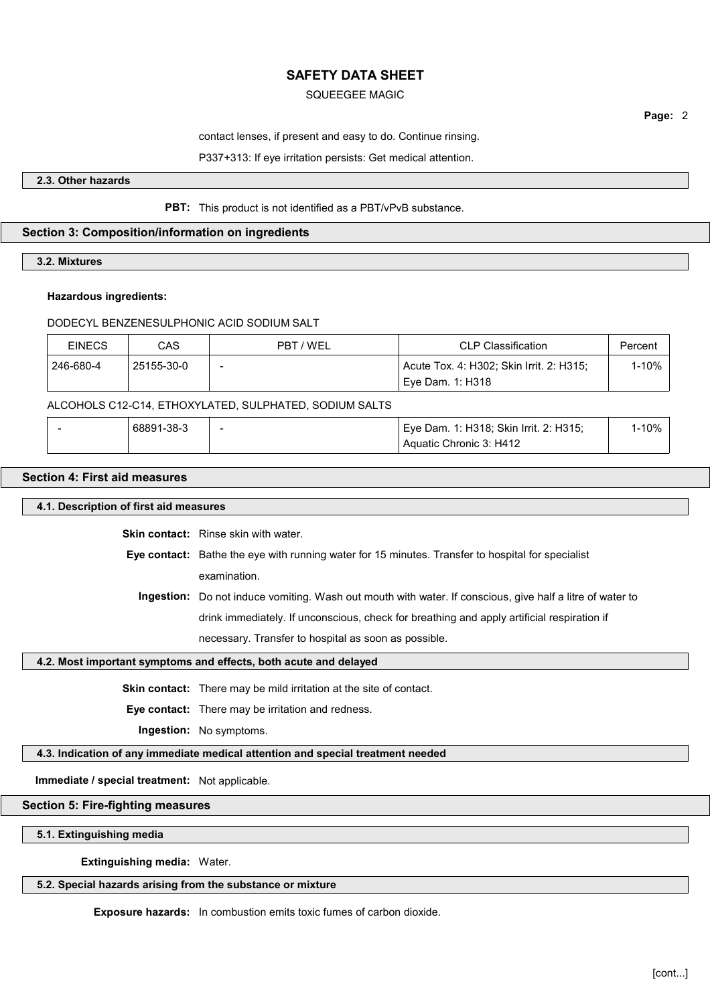## SQUEEGEE MAGIC

**Page:** 2

contact lenses, if present and easy to do. Continue rinsing.

P337+313: If eye irritation persists: Get medical attention.

**2.3. Other hazards**

### **PBT:** This product is not identified as a PBT/vPvB substance.

## **Section 3: Composition/information on ingredients**

**3.2. Mixtures**

### **Hazardous ingredients:**

### DODECYL BENZENESULPHONIC ACID SODIUM SALT

| <b>EINECS</b> | CAS        | PBT / WEL                | <b>CLP Classification</b>                | Percent |
|---------------|------------|--------------------------|------------------------------------------|---------|
| 246-680-4     | 25155-30-0 | $\overline{\phantom{0}}$ | Acute Tox. 4: H302; Skin Irrit. 2: H315; | 1-10%   |
|               |            |                          | Eve Dam. 1: H318                         |         |

### ALCOHOLS C12-C14, ETHOXYLATED, SULPHATED, SODIUM SALTS

| 68891-38-3 | $\overline{\phantom{a}}$ | 1: H318; Skin Irrit. 2: H315;<br>' Eve Dam. 1: | 10% |
|------------|--------------------------|------------------------------------------------|-----|
|            |                          | Aquatic Chronic 3: H412                        |     |

## **Section 4: First aid measures**

## **4.1. Description of first aid measures**

**Skin contact:** Rinse skin with water.

**Eye contact:** Bathe the eye with running water for 15 minutes. Transfer to hospital for specialist examination.

**Ingestion:** Do not induce vomiting. Wash out mouth with water. If conscious, give half a litre of water to drink immediately. If unconscious, check for breathing and apply artificial respiration if necessary. Transfer to hospital as soon as possible.

### **4.2. Most important symptoms and effects, both acute and delayed**

**Skin contact:** There may be mild irritation at the site of contact.

**Eye contact:** There may be irritation and redness.

**Ingestion:** No symptoms.

## **4.3. Indication of any immediate medical attention and special treatment needed**

**Immediate / special treatment:** Not applicable.

## **Section 5: Fire-fighting measures**

**5.1. Extinguishing media**

**Extinguishing media:** Water.

## **5.2. Special hazards arising from the substance or mixture**

**Exposure hazards:** In combustion emits toxic fumes of carbon dioxide.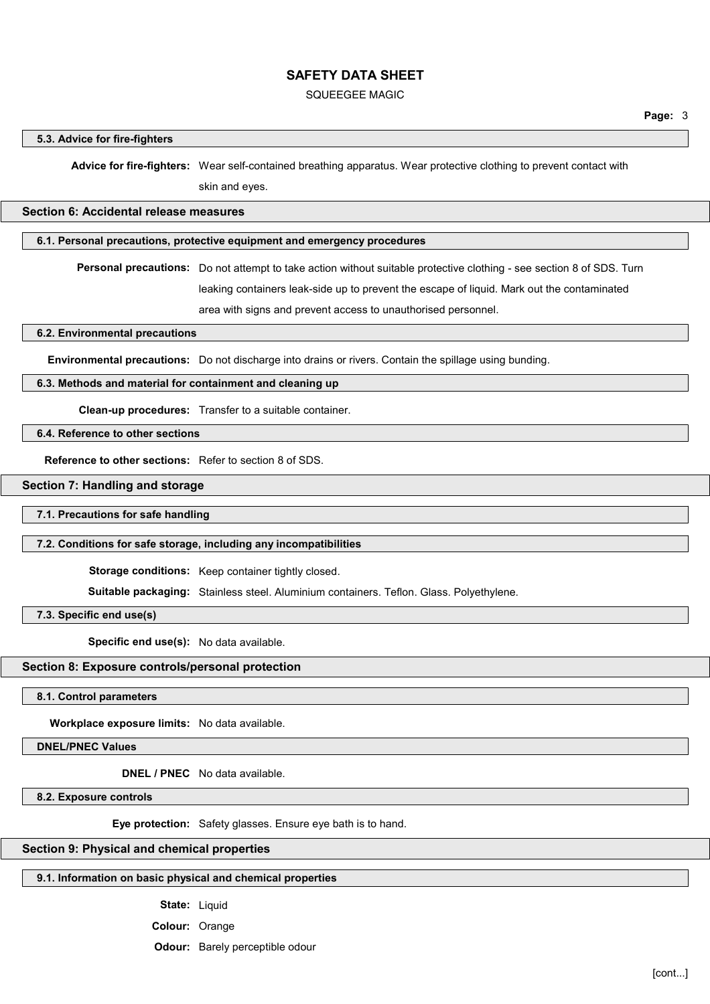#### SQUEEGEE MAGIC

#### **5.3. Advice for fire-fighters**

**Advice for fire-fighters:** Wear self-contained breathing apparatus. Wear protective clothing to prevent contact with

skin and eyes.

## **Section 6: Accidental release measures**

## **6.1. Personal precautions, protective equipment and emergency procedures**

**Personal precautions:** Do not attempt to take action without suitable protective clothing - see section 8 of SDS. Turn leaking containers leak-side up to prevent the escape of liquid. Mark out the contaminated

area with signs and prevent access to unauthorised personnel.

**6.2. Environmental precautions**

**Environmental precautions:** Do not discharge into drains or rivers. Contain the spillage using bunding.

### **6.3. Methods and material for containment and cleaning up**

**Clean-up procedures:** Transfer to a suitable container.

## **6.4. Reference to other sections**

**Reference to other sections:** Refer to section 8 of SDS.

#### **Section 7: Handling and storage**

#### **7.1. Precautions for safe handling**

#### **7.2. Conditions for safe storage, including any incompatibilities**

**Storage conditions:** Keep container tightly closed.

**Suitable packaging:** Stainless steel. Aluminium containers. Teflon. Glass. Polyethylene.

**7.3. Specific end use(s)**

**Specific end use(s):** No data available.

#### **Section 8: Exposure controls/personal protection**

**8.1. Control parameters**

**Workplace exposure limits:** No data available.

**DNEL/PNEC Values**

**DNEL / PNEC** No data available.

**8.2. Exposure controls**

**Eye protection:** Safety glasses. Ensure eye bath is to hand.

### **Section 9: Physical and chemical properties**

## **9.1. Information on basic physical and chemical properties**

**State:** Liquid

**Colour:** Orange

**Odour:** Barely perceptible odour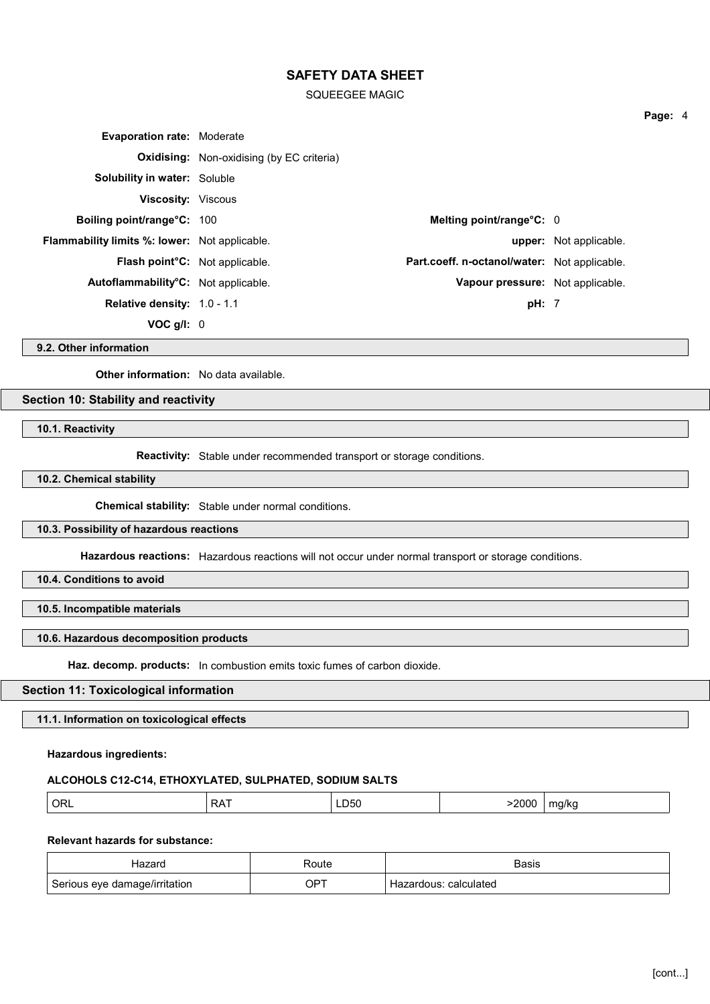SQUEEGEE MAGIC

| <b>Evaporation rate: Moderate</b>                    |                                                  |                                              |                        |
|------------------------------------------------------|--------------------------------------------------|----------------------------------------------|------------------------|
|                                                      | <b>Oxidising:</b> Non-oxidising (by EC criteria) |                                              |                        |
| <b>Solubility in water: Soluble</b>                  |                                                  |                                              |                        |
| <b>Viscosity:</b> Viscous                            |                                                  |                                              |                        |
| <b>Boiling point/range°C: 100</b>                    |                                                  | Melting point/range $\textdegree$ C: 0       |                        |
| <b>Flammability limits %: lower:</b> Not applicable. |                                                  |                                              | upper: Not applicable. |
| Flash point <sup>o</sup> C: Not applicable.          |                                                  | Part.coeff. n-octanol/water: Not applicable. |                        |
| Autoflammability <sup>o</sup> C: Not applicable.     |                                                  | Vapour pressure: Not applicable.             |                        |
| <b>Relative density: 1.0 - 1.1</b>                   |                                                  | pH: 7                                        |                        |
| VOC $q/l$ : 0                                        |                                                  |                                              |                        |

**9.2. Other information**

**Other information:** No data available.

**Section 10: Stability and reactivity**

**10.1. Reactivity**

**Reactivity:** Stable under recommended transport or storage conditions.

**10.2. Chemical stability**

**Chemical stability:** Stable under normal conditions.

### **10.3. Possibility of hazardous reactions**

**Hazardous reactions:** Hazardous reactions will not occur under normal transport or storage conditions.

**10.4. Conditions to avoid**

**10.5. Incompatible materials**

#### **10.6. Hazardous decomposition products**

**Haz. decomp. products:** In combustion emits toxic fumes of carbon dioxide.

## **Section 11: Toxicological information**

**11.1. Information on toxicological effects**

**Hazardous ingredients:**

#### **ALCOHOLS C12-C14, ETHOXYLATED, SULPHATED, SODIUM SALTS**

| ORL | RA. | $- - -$<br>LD50 | 2000 | ma/ka<br>ີ |
|-----|-----|-----------------|------|------------|
|-----|-----|-----------------|------|------------|

# **Relevant hazards for substance:**

| Hazard                        | Route | Basis                 |
|-------------------------------|-------|-----------------------|
| Serious eye damage/irritation | OPT   | Hazardous: calculated |

**Page:** 4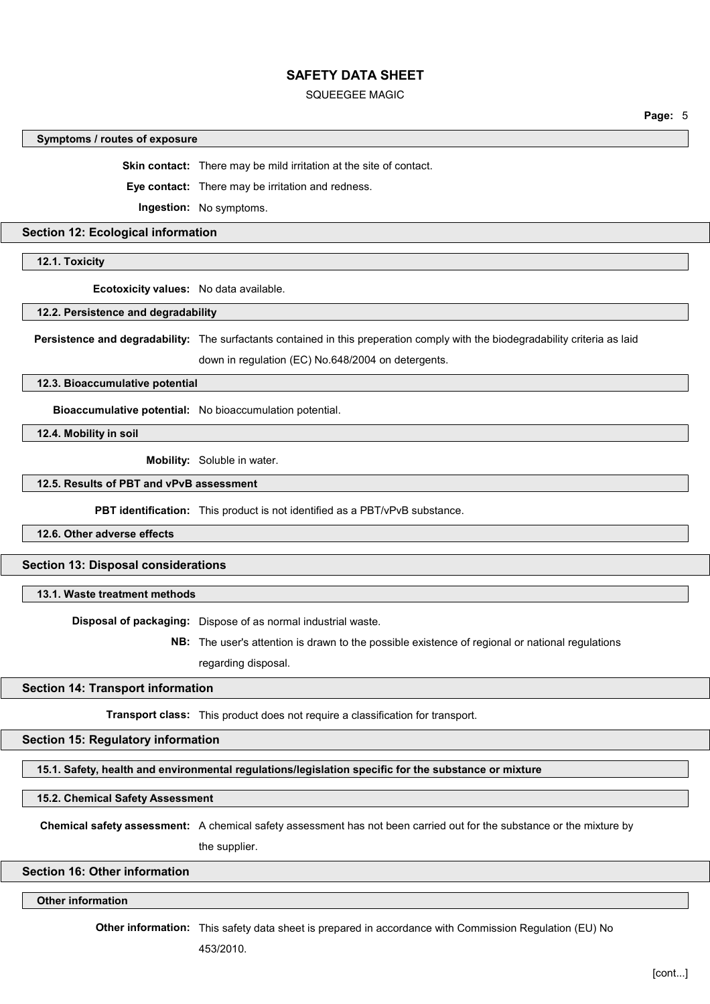#### SQUEEGEE MAGIC

#### **Symptoms / routes of exposure**

**Skin contact:** There may be mild irritation at the site of contact.

**Eye contact:** There may be irritation and redness.

**Ingestion:** No symptoms.

### **Section 12: Ecological information**

**12.1. Toxicity**

**Ecotoxicity values:** No data available.

**12.2. Persistence and degradability**

**Persistence and degradability:** The surfactants contained in this preperation comply with the biodegradability criteria as laid

down in regulation (EC) No.648/2004 on detergents.

**12.3. Bioaccumulative potential**

**Bioaccumulative potential:** No bioaccumulation potential.

**12.4. Mobility in soil**

**Mobility:** Soluble in water.

## **12.5. Results of PBT and vPvB assessment**

**PBT identification:** This product is not identified as a PBT/vPvB substance.

**12.6. Other adverse effects**

**Section 13: Disposal considerations**

## **13.1. Waste treatment methods**

**Disposal of packaging:** Dispose of as normal industrial waste.

**NB:** The user's attention is drawn to the possible existence of regional or national regulations regarding disposal.

#### **Section 14: Transport information**

**Transport class:** This product does not require a classification for transport.

### **Section 15: Regulatory information**

**15.1. Safety, health and environmental regulations/legislation specific for the substance or mixture**

#### **15.2. Chemical Safety Assessment**

**Chemical safety assessment:** A chemical safety assessment has not been carried out for the substance or the mixture by

the supplier.

## **Section 16: Other information**

**Other information**

**Other information:** This safety data sheet is prepared in accordance with Commission Regulation (EU) No